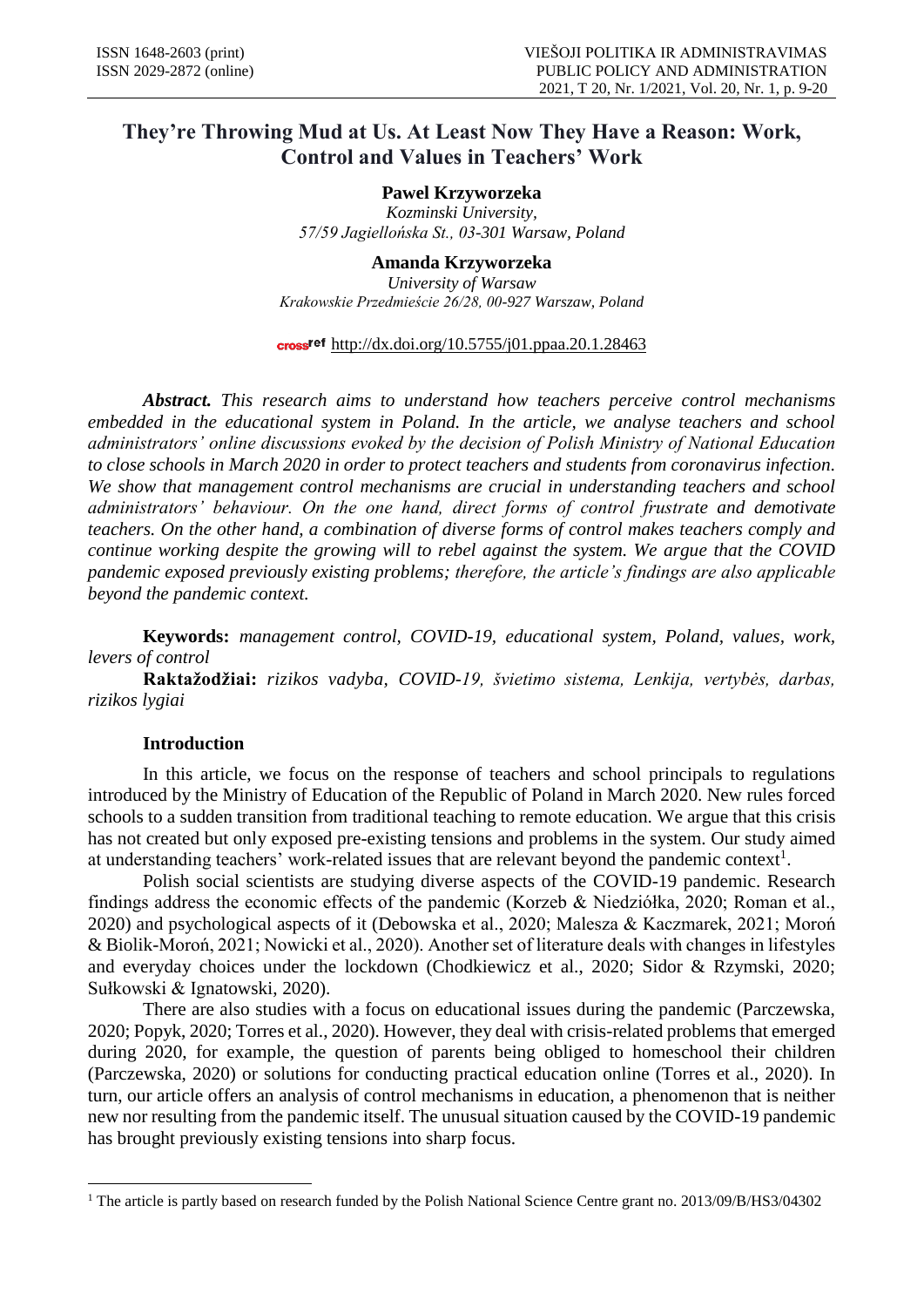# **They're Throwing Mud at Us. At Least Now They Have a Reason: Work, Control and Values in Teachers' Work**

**Pawel Krzyworzeka**  *Kozminski University, 57/59 Jagiellońska St., 03-301 Warsaw, Poland*

**Amanda Krzyworzeka** *University of Warsaw Krakowskie Przedmieście 26/28, 00-927 Warszaw, Poland*

### cross<sup>ref</sup> http://dx.doi.org/10.5755/j01.ppaa.20.1.28463

*Abstract. This research aims to understand how teachers perceive control mechanisms embedded in the educational system in Poland. In the article, we analyse teachers and school administrators' online discussions evoked by the decision of Polish Ministry of National Education to close schools in March 2020 in order to protect teachers and students from coronavirus infection. We show that management control mechanisms are crucial in understanding teachers and school administrators' behaviour. On the one hand, direct forms of control frustrate and demotivate teachers. On the other hand, a combination of diverse forms of control makes teachers comply and continue working despite the growing will to rebel against the system. We argue that the COVID pandemic exposed previously existing problems; therefore, the article's findings are also applicable beyond the pandemic context.*

**Keywords:** *management control, COVID-19, educational system, Poland, values, work, levers of control*

**Raktažodžiai:** *rizikos vadyba, COVID-19, švietimo sistema, Lenkija, vertybės, darbas, rizikos lygiai*

### **Introduction**

**.** 

In this article, we focus on the response of teachers and school principals to regulations introduced by the Ministry of Education of the Republic of Poland in March 2020. New rules forced schools to a sudden transition from traditional teaching to remote education. We argue that this crisis has not created but only exposed pre-existing tensions and problems in the system. Our study aimed at understanding teachers' work-related issues that are relevant beyond the pandemic context<sup>1</sup>.

Polish social scientists are studying diverse aspects of the COVID-19 pandemic. Research findings address the economic effects of the pandemic (Korzeb & Niedziółka, 2020; Roman et al., 2020) and psychological aspects of it (Debowska et al., 2020; Malesza & Kaczmarek, 2021; Moroń & Biolik-Moroń, 2021; Nowicki et al., 2020). Another set of literature deals with changes in lifestyles and everyday choices under the lockdown (Chodkiewicz et al., 2020; Sidor & Rzymski, 2020; Sułkowski & Ignatowski, 2020).

There are also studies with a focus on educational issues during the pandemic (Parczewska, 2020; Popyk, 2020; Torres et al., 2020). However, they deal with crisis-related problems that emerged during 2020, for example, the question of parents being obliged to homeschool their children (Parczewska, 2020) or solutions for conducting practical education online (Torres et al., 2020). In turn, our article offers an analysis of control mechanisms in education, a phenomenon that is neither new nor resulting from the pandemic itself. The unusual situation caused by the COVID-19 pandemic has brought previously existing tensions into sharp focus.

<sup>&</sup>lt;sup>1</sup> The article is partly based on research funded by the Polish National Science Centre grant no. 2013/09/B/HS3/04302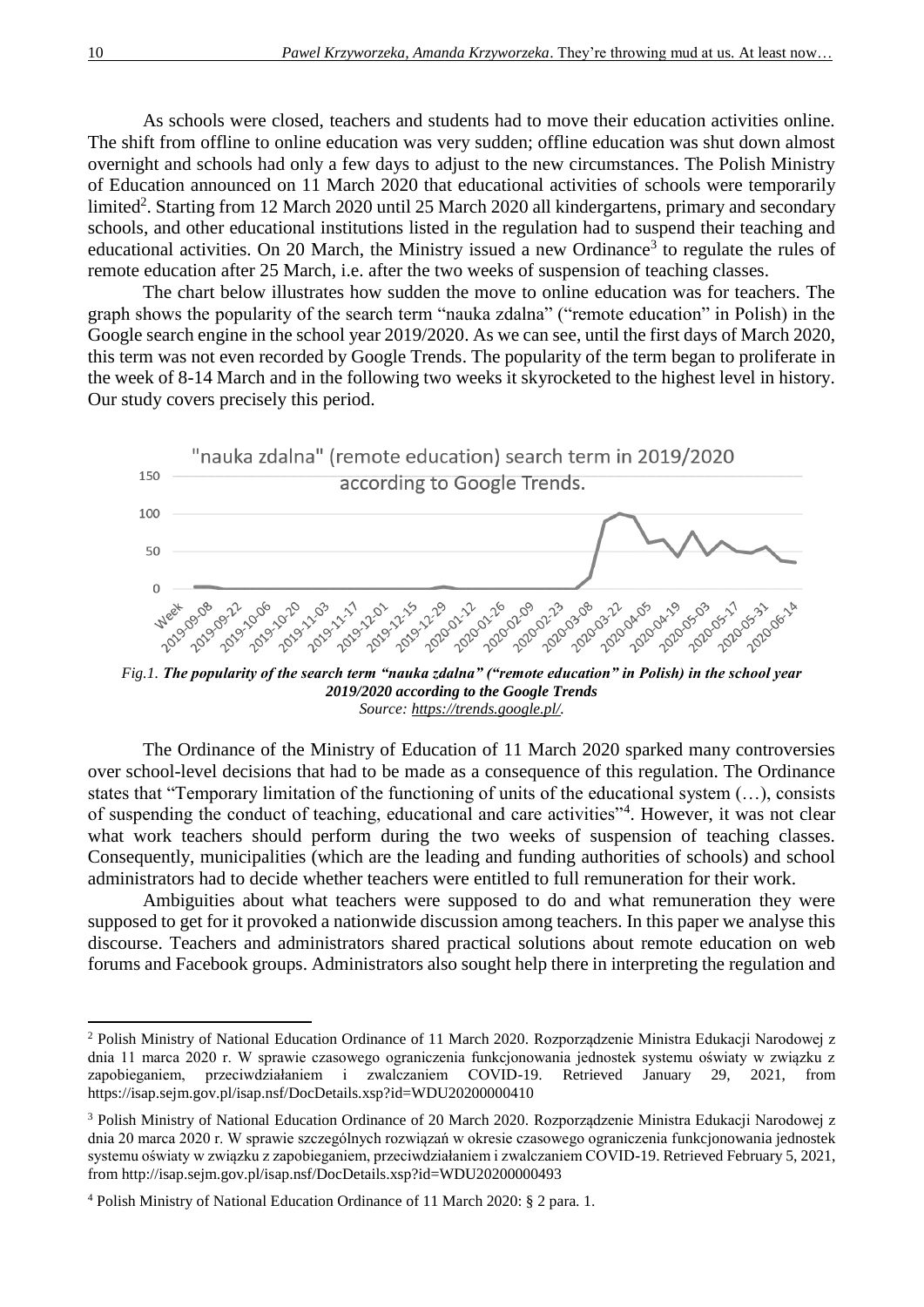As schools were closed, teachers and students had to move their education activities online. The shift from offline to online education was very sudden; offline education was shut down almost overnight and schools had only a few days to adjust to the new circumstances. The Polish Ministry of Education announced on 11 March 2020 that educational activities of schools were temporarily limited<sup>2</sup>. Starting from 12 March 2020 until 25 March 2020 all kindergartens, primary and secondary schools, and other educational institutions listed in the regulation had to suspend their teaching and educational activities. On 20 March, the Ministry issued a new Ordinance<sup>3</sup> to regulate the rules of remote education after 25 March, i.e. after the two weeks of suspension of teaching classes.

The chart below illustrates how sudden the move to online education was for teachers. The graph shows the popularity of the search term "nauka zdalna" ("remote education" in Polish) in the Google search engine in the school year 2019/2020. As we can see, until the first days of March 2020, this term was not even recorded by Google Trends. The popularity of the term began to proliferate in the week of 8-14 March and in the following two weeks it skyrocketed to the highest level in history. Our study covers precisely this period.



*Fig.1. The popularity of the search term "nauka zdalna" ("remote education" in Polish) in the school year 2019/2020 according to the Google Trends Source: https://trends.google.pl/.*

The Ordinance of the Ministry of Education of 11 March 2020 sparked many controversies over school-level decisions that had to be made as a consequence of this regulation. The Ordinance states that "Temporary limitation of the functioning of units of the educational system (…), consists of suspending the conduct of teaching, educational and care activities"<sup>4</sup>. However, it was not clear what work teachers should perform during the two weeks of suspension of teaching classes. Consequently, municipalities (which are the leading and funding authorities of schools) and school administrators had to decide whether teachers were entitled to full remuneration for their work.

Ambiguities about what teachers were supposed to do and what remuneration they were supposed to get for it provoked a nationwide discussion among teachers. In this paper we analyse this discourse. Teachers and administrators shared practical solutions about remote education on web forums and Facebook groups. Administrators also sought help there in interpreting the regulation and

1

<sup>2</sup> Polish Ministry of National Education Ordinance of 11 March 2020. Rozporządzenie Ministra Edukacji Narodowej z dnia 11 marca 2020 r. W sprawie czasowego ograniczenia funkcjonowania jednostek systemu oświaty w związku z zapobieganiem, przeciwdziałaniem i zwalczaniem COVID-19. Retrieved January 29, 2021, from https://isap.sejm.gov.pl/isap.nsf/DocDetails.xsp?id=WDU20200000410

<sup>3</sup> Polish Ministry of National Education Ordinance of 20 March 2020. Rozporządzenie Ministra Edukacji Narodowej z dnia 20 marca 2020 r. W sprawie szczególnych rozwiązań w okresie czasowego ograniczenia funkcjonowania jednostek systemu oświaty w związku z zapobieganiem, przeciwdziałaniem i zwalczaniem COVID-19. Retrieved February 5, 2021, from http://isap.sejm.gov.pl/isap.nsf/DocDetails.xsp?id=WDU20200000493

<sup>4</sup> Polish Ministry of National Education Ordinance of 11 March 2020: § 2 para. 1.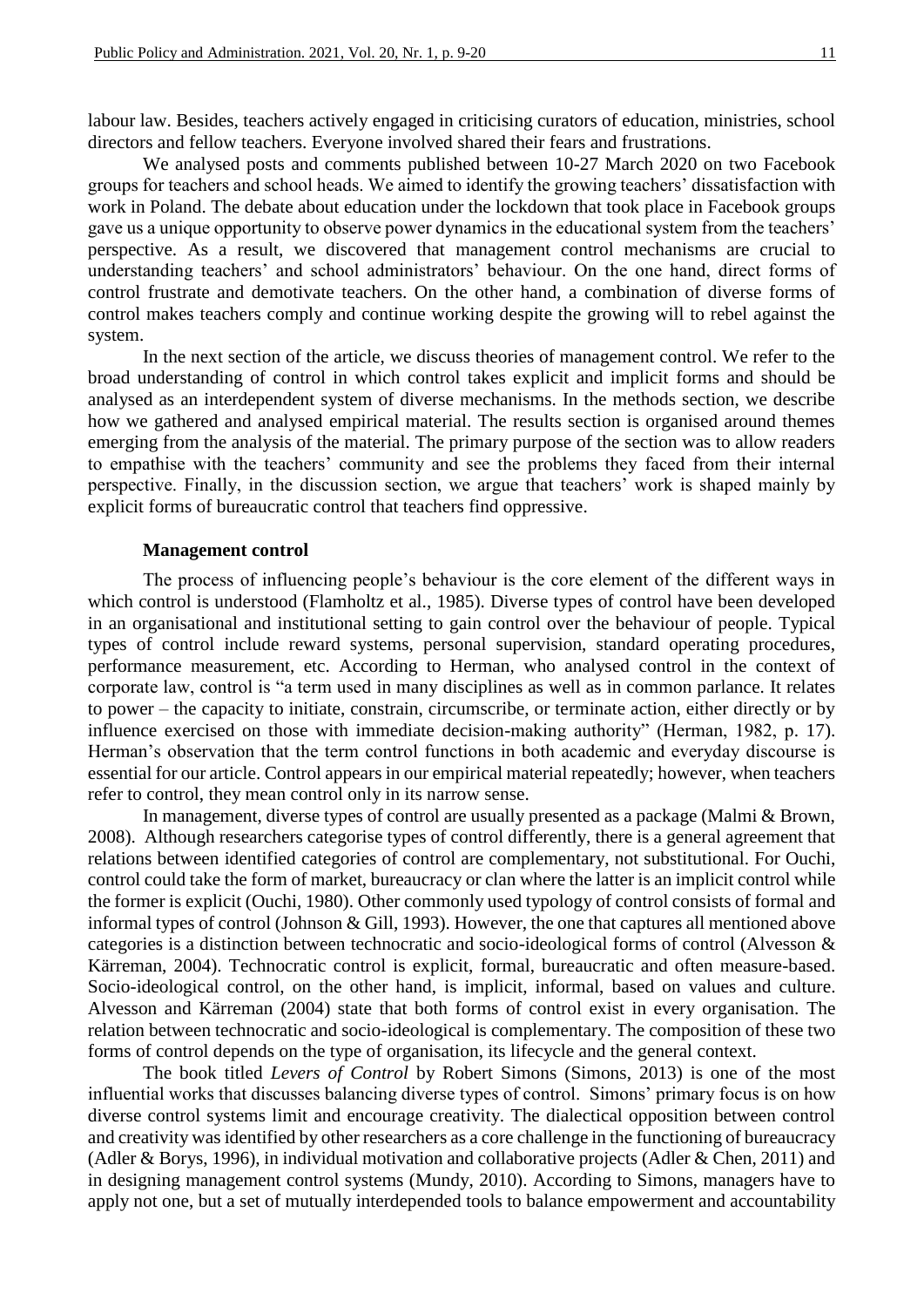labour law. Besides, teachers actively engaged in criticising curators of education, ministries, school directors and fellow teachers. Everyone involved shared their fears and frustrations.

We analysed posts and comments published between 10-27 March 2020 on two Facebook groups for teachers and school heads. We aimed to identify the growing teachers' dissatisfaction with work in Poland. The debate about education under the lockdown that took place in Facebook groups gave us a unique opportunity to observe power dynamics in the educational system from the teachers' perspective. As a result, we discovered that management control mechanisms are crucial to understanding teachers' and school administrators' behaviour. On the one hand, direct forms of control frustrate and demotivate teachers. On the other hand, a combination of diverse forms of control makes teachers comply and continue working despite the growing will to rebel against the system.

In the next section of the article, we discuss theories of management control. We refer to the broad understanding of control in which control takes explicit and implicit forms and should be analysed as an interdependent system of diverse mechanisms. In the methods section, we describe how we gathered and analysed empirical material. The results section is organised around themes emerging from the analysis of the material. The primary purpose of the section was to allow readers to empathise with the teachers' community and see the problems they faced from their internal perspective. Finally, in the discussion section, we argue that teachers' work is shaped mainly by explicit forms of bureaucratic control that teachers find oppressive.

### **Management control**

The process of influencing people's behaviour is the core element of the different ways in which control is understood (Flamholtz et al., 1985). Diverse types of control have been developed in an organisational and institutional setting to gain control over the behaviour of people. Typical types of control include reward systems, personal supervision, standard operating procedures, performance measurement, etc. According to Herman, who analysed control in the context of corporate law, control is "a term used in many disciplines as well as in common parlance. It relates to power – the capacity to initiate, constrain, circumscribe, or terminate action, either directly or by influence exercised on those with immediate decision-making authority" (Herman, 1982, p. 17). Herman's observation that the term control functions in both academic and everyday discourse is essential for our article. Control appears in our empirical material repeatedly; however, when teachers refer to control, they mean control only in its narrow sense.

In management, diverse types of control are usually presented as a package (Malmi & Brown, 2008). Although researchers categorise types of control differently, there is a general agreement that relations between identified categories of control are complementary, not substitutional. For Ouchi, control could take the form of market, bureaucracy or clan where the latter is an implicit control while the former is explicit (Ouchi, 1980). Other commonly used typology of control consists of formal and informal types of control (Johnson & Gill, 1993). However, the one that captures all mentioned above categories is a distinction between technocratic and socio-ideological forms of control (Alvesson & Kärreman, 2004). Technocratic control is explicit, formal, bureaucratic and often measure-based. Socio-ideological control, on the other hand, is implicit, informal, based on values and culture. Alvesson and Kärreman (2004) state that both forms of control exist in every organisation. The relation between technocratic and socio-ideological is complementary. The composition of these two forms of control depends on the type of organisation, its lifecycle and the general context.

The book titled *Levers of Control* by Robert Simons (Simons, 2013) is one of the most influential works that discusses balancing diverse types of control. Simons' primary focus is on how diverse control systems limit and encourage creativity. The dialectical opposition between control and creativity was identified by other researchers as a core challenge in the functioning of bureaucracy (Adler & Borys, 1996), in individual motivation and collaborative projects (Adler & Chen, 2011) and in designing management control systems (Mundy, 2010). According to Simons, managers have to apply not one, but a set of mutually interdepended tools to balance empowerment and accountability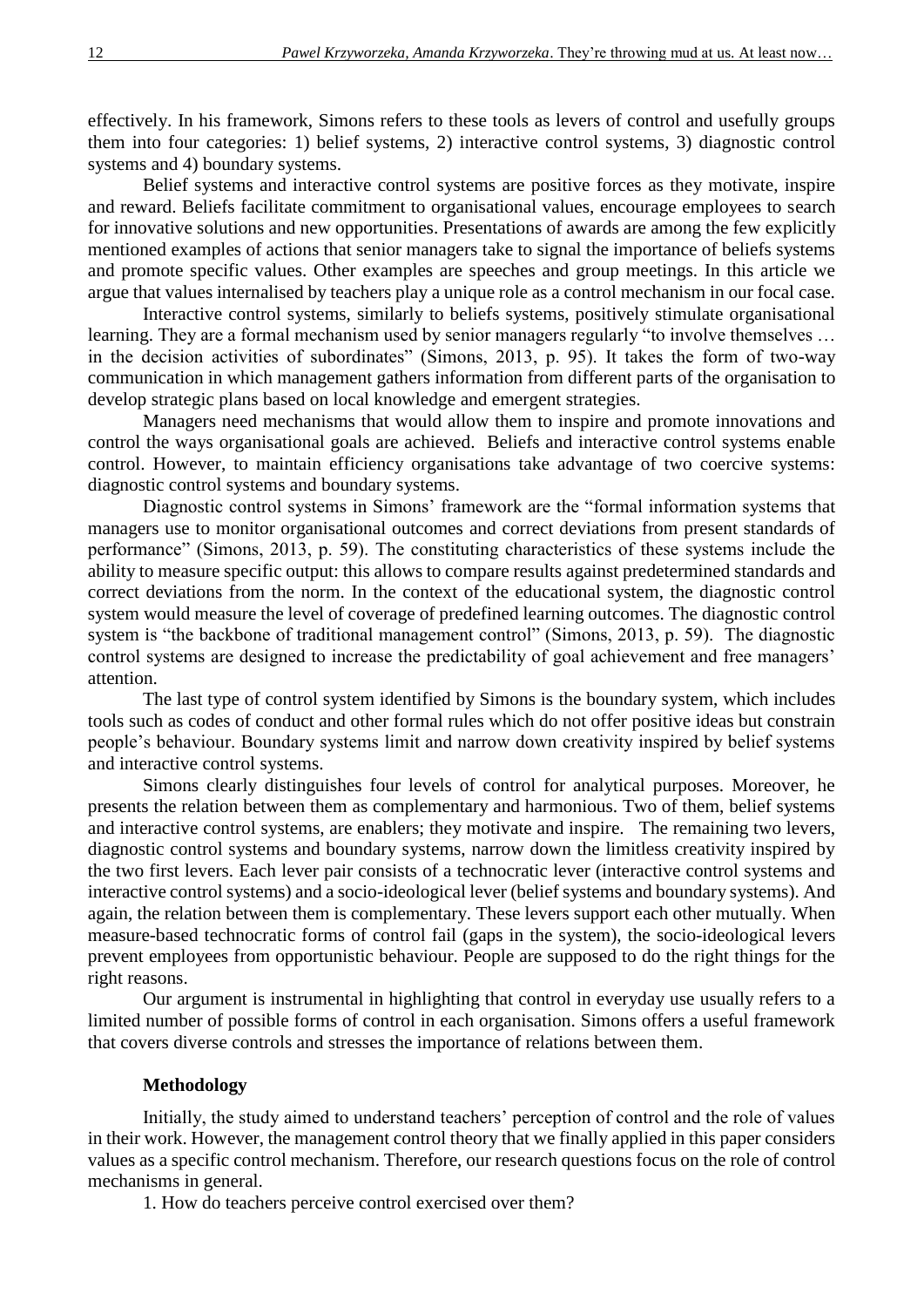effectively. In his framework, Simons refers to these tools as levers of control and usefully groups them into four categories: 1) belief systems, 2) interactive control systems, 3) diagnostic control systems and 4) boundary systems.

Belief systems and interactive control systems are positive forces as they motivate, inspire and reward. Beliefs facilitate commitment to organisational values, encourage employees to search for innovative solutions and new opportunities. Presentations of awards are among the few explicitly mentioned examples of actions that senior managers take to signal the importance of beliefs systems and promote specific values. Other examples are speeches and group meetings. In this article we argue that values internalised by teachers play a unique role as a control mechanism in our focal case.

Interactive control systems, similarly to beliefs systems, positively stimulate organisational learning. They are a formal mechanism used by senior managers regularly "to involve themselves … in the decision activities of subordinates" (Simons, 2013, p. 95). It takes the form of two-way communication in which management gathers information from different parts of the organisation to develop strategic plans based on local knowledge and emergent strategies.

Managers need mechanisms that would allow them to inspire and promote innovations and control the ways organisational goals are achieved. Beliefs and interactive control systems enable control. However, to maintain efficiency organisations take advantage of two coercive systems: diagnostic control systems and boundary systems.

Diagnostic control systems in Simons' framework are the "formal information systems that managers use to monitor organisational outcomes and correct deviations from present standards of performance" (Simons, 2013, p. 59). The constituting characteristics of these systems include the ability to measure specific output: this allows to compare results against predetermined standards and correct deviations from the norm. In the context of the educational system, the diagnostic control system would measure the level of coverage of predefined learning outcomes. The diagnostic control system is "the backbone of traditional management control" (Simons, 2013, p. 59). The diagnostic control systems are designed to increase the predictability of goal achievement and free managers' attention.

The last type of control system identified by Simons is the boundary system, which includes tools such as codes of conduct and other formal rules which do not offer positive ideas but constrain people's behaviour. Boundary systems limit and narrow down creativity inspired by belief systems and interactive control systems.

Simons clearly distinguishes four levels of control for analytical purposes. Moreover, he presents the relation between them as complementary and harmonious. Two of them, belief systems and interactive control systems, are enablers; they motivate and inspire. The remaining two levers, diagnostic control systems and boundary systems, narrow down the limitless creativity inspired by the two first levers. Each lever pair consists of a technocratic lever (interactive control systems and interactive control systems) and a socio-ideological lever (belief systems and boundary systems). And again, the relation between them is complementary. These levers support each other mutually. When measure-based technocratic forms of control fail (gaps in the system), the socio-ideological levers prevent employees from opportunistic behaviour. People are supposed to do the right things for the right reasons.

Our argument is instrumental in highlighting that control in everyday use usually refers to a limited number of possible forms of control in each organisation. Simons offers a useful framework that covers diverse controls and stresses the importance of relations between them.

#### **Methodology**

Initially, the study aimed to understand teachers' perception of control and the role of values in their work. However, the management control theory that we finally applied in this paper considers values as a specific control mechanism. Therefore, our research questions focus on the role of control mechanisms in general.

1. How do teachers perceive control exercised over them?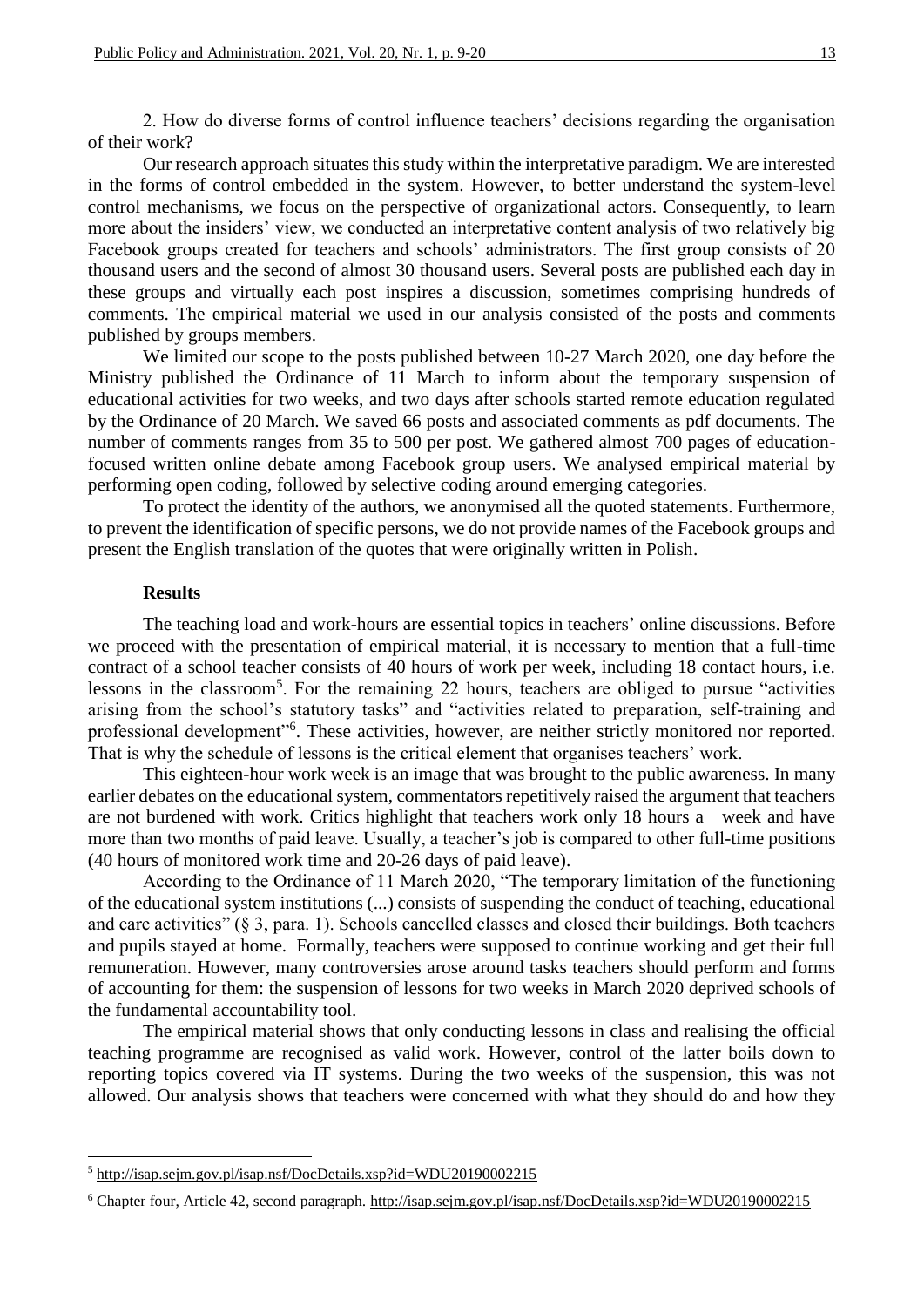2. How do diverse forms of control influence teachers' decisions regarding the organisation of their work?

Our research approach situates this study within the interpretative paradigm. We are interested in the forms of control embedded in the system. However, to better understand the system-level control mechanisms, we focus on the perspective of organizational actors. Consequently, to learn more about the insiders' view, we conducted an interpretative content analysis of two relatively big Facebook groups created for teachers and schools' administrators. The first group consists of 20 thousand users and the second of almost 30 thousand users. Several posts are published each day in these groups and virtually each post inspires a discussion, sometimes comprising hundreds of comments. The empirical material we used in our analysis consisted of the posts and comments published by groups members.

We limited our scope to the posts published between 10-27 March 2020, one day before the Ministry published the Ordinance of 11 March to inform about the temporary suspension of educational activities for two weeks, and two days after schools started remote education regulated by the Ordinance of 20 March. We saved 66 posts and associated comments as pdf documents. The number of comments ranges from 35 to 500 per post. We gathered almost 700 pages of educationfocused written online debate among Facebook group users. We analysed empirical material by performing open coding, followed by selective coding around emerging categories.

To protect the identity of the authors, we anonymised all the quoted statements. Furthermore, to prevent the identification of specific persons, we do not provide names of the Facebook groups and present the English translation of the quotes that were originally written in Polish.

### **Results**

1

The teaching load and work-hours are essential topics in teachers' online discussions. Before we proceed with the presentation of empirical material, it is necessary to mention that a full-time contract of a school teacher consists of 40 hours of work per week, including 18 contact hours, i.e. lessons in the classroom<sup>5</sup>. For the remaining 22 hours, teachers are obliged to pursue "activities arising from the school's statutory tasks" and "activities related to preparation, self-training and professional development"<sup>6</sup>. These activities, however, are neither strictly monitored nor reported. That is why the schedule of lessons is the critical element that organises teachers' work.

This eighteen-hour work week is an image that was brought to the public awareness. In many earlier debates on the educational system, commentators repetitively raised the argument that teachers are not burdened with work. Critics highlight that teachers work only 18 hours a week and have more than two months of paid leave. Usually, a teacher's job is compared to other full-time positions (40 hours of monitored work time and 20-26 days of paid leave).

According to the Ordinance of 11 March 2020, "The temporary limitation of the functioning of the educational system institutions (...) consists of suspending the conduct of teaching, educational and care activities" (§ 3, para. 1). Schools cancelled classes and closed their buildings. Both teachers and pupils stayed at home. Formally, teachers were supposed to continue working and get their full remuneration. However, many controversies arose around tasks teachers should perform and forms of accounting for them: the suspension of lessons for two weeks in March 2020 deprived schools of the fundamental accountability tool.

The empirical material shows that only conducting lessons in class and realising the official teaching programme are recognised as valid work. However, control of the latter boils down to reporting topics covered via IT systems. During the two weeks of the suspension, this was not allowed. Our analysis shows that teachers were concerned with what they should do and how they

<sup>5</sup> http://isap.sejm.gov.pl/isap.nsf/DocDetails.xsp?id=WDU20190002215

<sup>6</sup> Chapter four, Article 42, second paragraph. http://isap.sejm.gov.pl/isap.nsf/DocDetails.xsp?id=WDU20190002215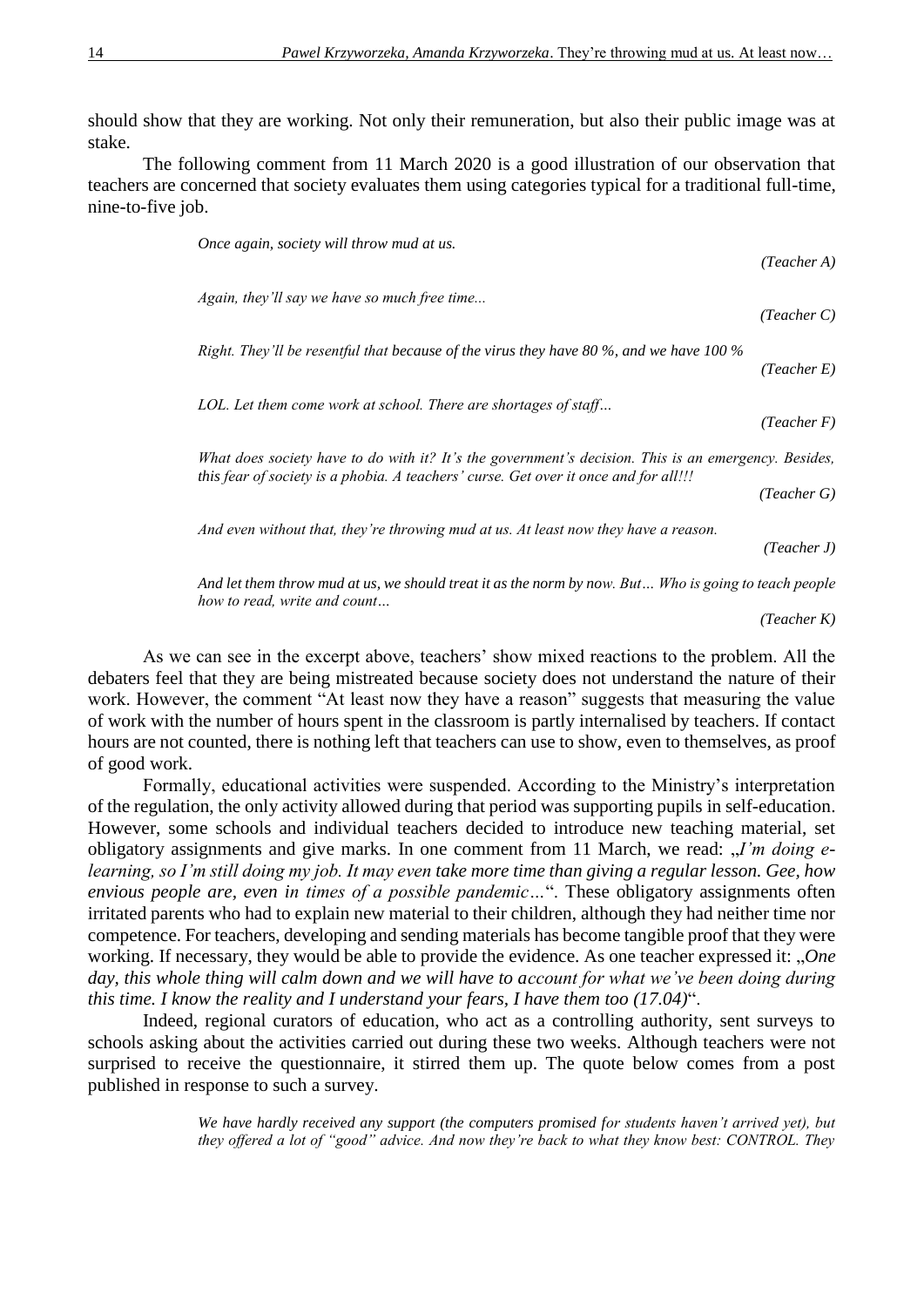should show that they are working. Not only their remuneration, but also their public image was at stake.

The following comment from 11 March 2020 is a good illustration of our observation that teachers are concerned that society evaluates them using categories typical for a traditional full-time, nine-to-five job.

> *Once again, society will throw mud at us. (Teacher A) Again, they'll say we have so much free time... (Teacher C) Right. They'll be resentful that because of the virus they have 80 %, and we have 100 % (Teacher E) LOL. Let them come work at school. There are shortages of staff… (Teacher F) What does society have to do with it? It's the government's decision. This is an emergency. Besides, this fear of society is a phobia. A teachers' curse. Get over it once and for all!!! (Teacher G) And even without that, they're throwing mud at us. At least now they have a reason. (Teacher J)*

> *And let them throw mud at us, we should treat it as the norm by now. But… Who is going to teach people how to read, write and count…*

*(Teacher K)*

As we can see in the excerpt above, teachers' show mixed reactions to the problem. All the debaters feel that they are being mistreated because society does not understand the nature of their work. However, the comment "At least now they have a reason" suggests that measuring the value of work with the number of hours spent in the classroom is partly internalised by teachers. If contact hours are not counted, there is nothing left that teachers can use to show, even to themselves, as proof of good work.

Formally, educational activities were suspended. According to the Ministry's interpretation of the regulation, the only activity allowed during that period was supporting pupils in self-education. However, some schools and individual teachers decided to introduce new teaching material, set obligatory assignments and give marks. In one comment from 11 March, we read: "*I'm doing elearning, so I'm still doing my job. It may even take more time than giving a regular lesson. Gee, how envious people are, even in times of a possible pandemic…*". These obligatory assignments often irritated parents who had to explain new material to their children, although they had neither time nor competence. For teachers, developing and sending materials has become tangible proof that they were working. If necessary, they would be able to provide the evidence. As one teacher expressed it: "One *day, this whole thing will calm down and we will have to account for what we've been doing during this time. I know the reality and I understand your fears, I have them too (17.04)*".

Indeed, regional curators of education, who act as a controlling authority, sent surveys to schools asking about the activities carried out during these two weeks. Although teachers were not surprised to receive the questionnaire, it stirred them up. The quote below comes from a post published in response to such a survey.

> *We have hardly received any support (the computers promised for students haven't arrived yet), but they offered a lot of "good" advice. And now they're back to what they know best: CONTROL. They*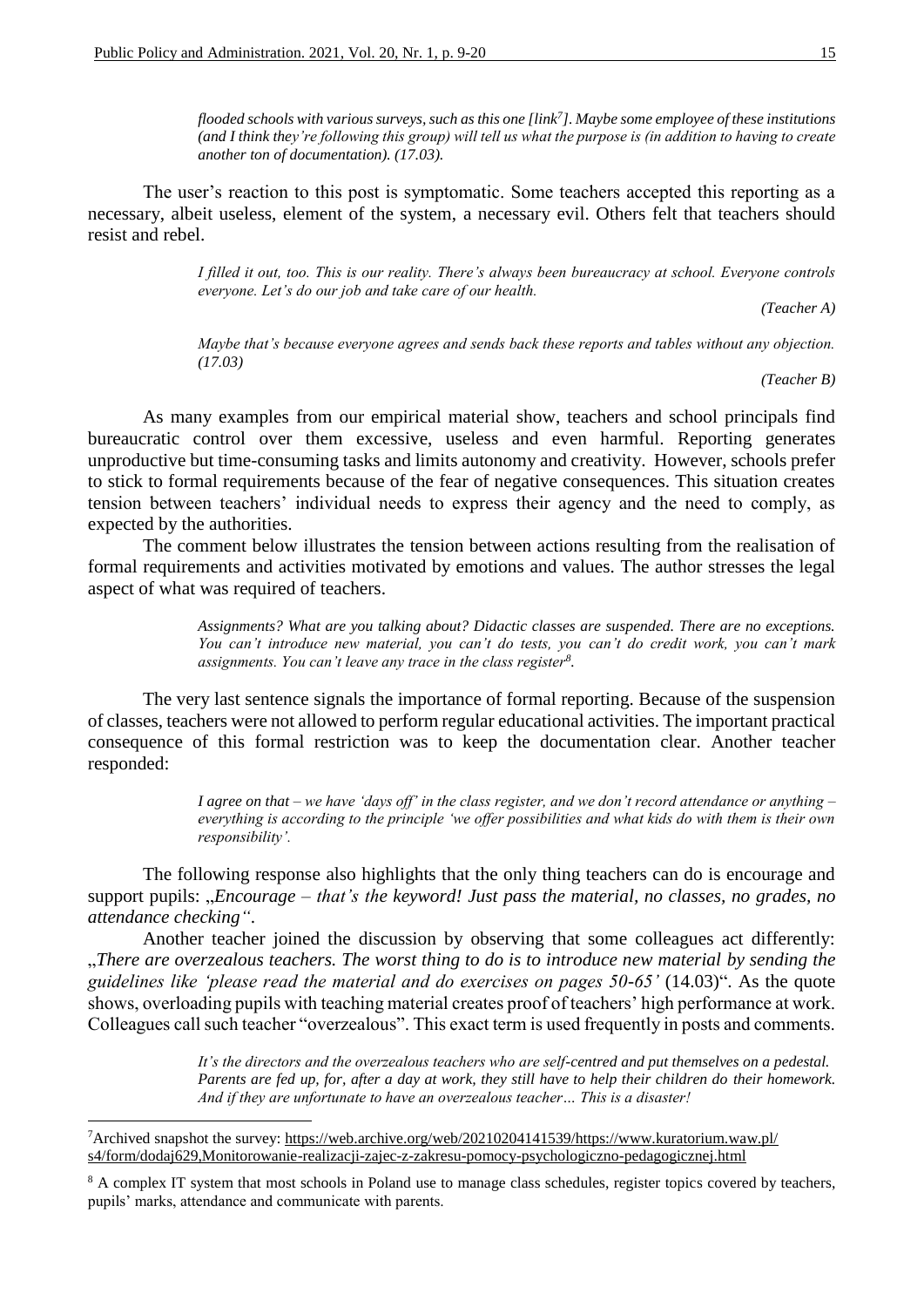*flooded schools with various surveys, such as this one [link<sup>7</sup> ]. Maybe some employee of these institutions (and I think they're following this group) will tell us what the purpose is (in addition to having to create another ton of documentation). (17.03).*

The user's reaction to this post is symptomatic. Some teachers accepted this reporting as a necessary, albeit useless, element of the system, a necessary evil. Others felt that teachers should resist and rebel.

> *I filled it out, too. This is our reality. There's always been bureaucracy at school. Everyone controls everyone. Let's do our job and take care of our health.*

> > *(Teacher A)*

*Maybe that's because everyone agrees and sends back these reports and tables without any objection. (17.03)*

*(Teacher B)*

As many examples from our empirical material show, teachers and school principals find bureaucratic control over them excessive, useless and even harmful. Reporting generates unproductive but time-consuming tasks and limits autonomy and creativity. However, schools prefer to stick to formal requirements because of the fear of negative consequences. This situation creates tension between teachers' individual needs to express their agency and the need to comply, as expected by the authorities.

The comment below illustrates the tension between actions resulting from the realisation of formal requirements and activities motivated by emotions and values. The author stresses the legal aspect of what was required of teachers.

> *Assignments? What are you talking about? Didactic classes are suspended. There are no exceptions. You can't introduce new material, you can't do tests, you can't do credit work, you can't mark assignments. You can't leave any trace in the class register<sup>8</sup> .*

The very last sentence signals the importance of formal reporting. Because of the suspension of classes, teachers were not allowed to perform regular educational activities. The important practical consequence of this formal restriction was to keep the documentation clear. Another teacher responded:

> *I agree on that – we have 'days off' in the class register, and we don't record attendance or anything – everything is according to the principle 'we offer possibilities and what kids do with them is their own responsibility'.*

The following response also highlights that the only thing teachers can do is encourage and support pupils: "*Encourage – that's the keyword! Just pass the material, no classes, no grades, no attendance checking"*.

Another teacher joined the discussion by observing that some colleagues act differently: "*There are overzealous teachers. The worst thing to do is to introduce new material by sending the guidelines like 'please read the material and do exercises on pages 50-65'* (14.03)". As the quote shows, overloading pupils with teaching material creates proof of teachers' high performance at work. Colleagues call such teacher "overzealous". This exact term is used frequently in posts and comments.

> *It's the directors and the overzealous teachers who are self-centred and put themselves on a pedestal. Parents are fed up, for, after a day at work, they still have to help their children do their homework. And if they are unfortunate to have an overzealous teacher… This is a disaster!*

**.** 

<sup>7</sup>Archived snapshot the survey: https://web.archive.org/web/20210204141539/https://www.kuratorium.waw.pl/ s4/form/dodaj629,Monitorowanie-realizacji-zajec-z-zakresu-pomocy-psychologiczno-pedagogicznej.html

<sup>&</sup>lt;sup>8</sup> A complex IT system that most schools in Poland use to manage class schedules, register topics covered by teachers, pupils' marks, attendance and communicate with parents.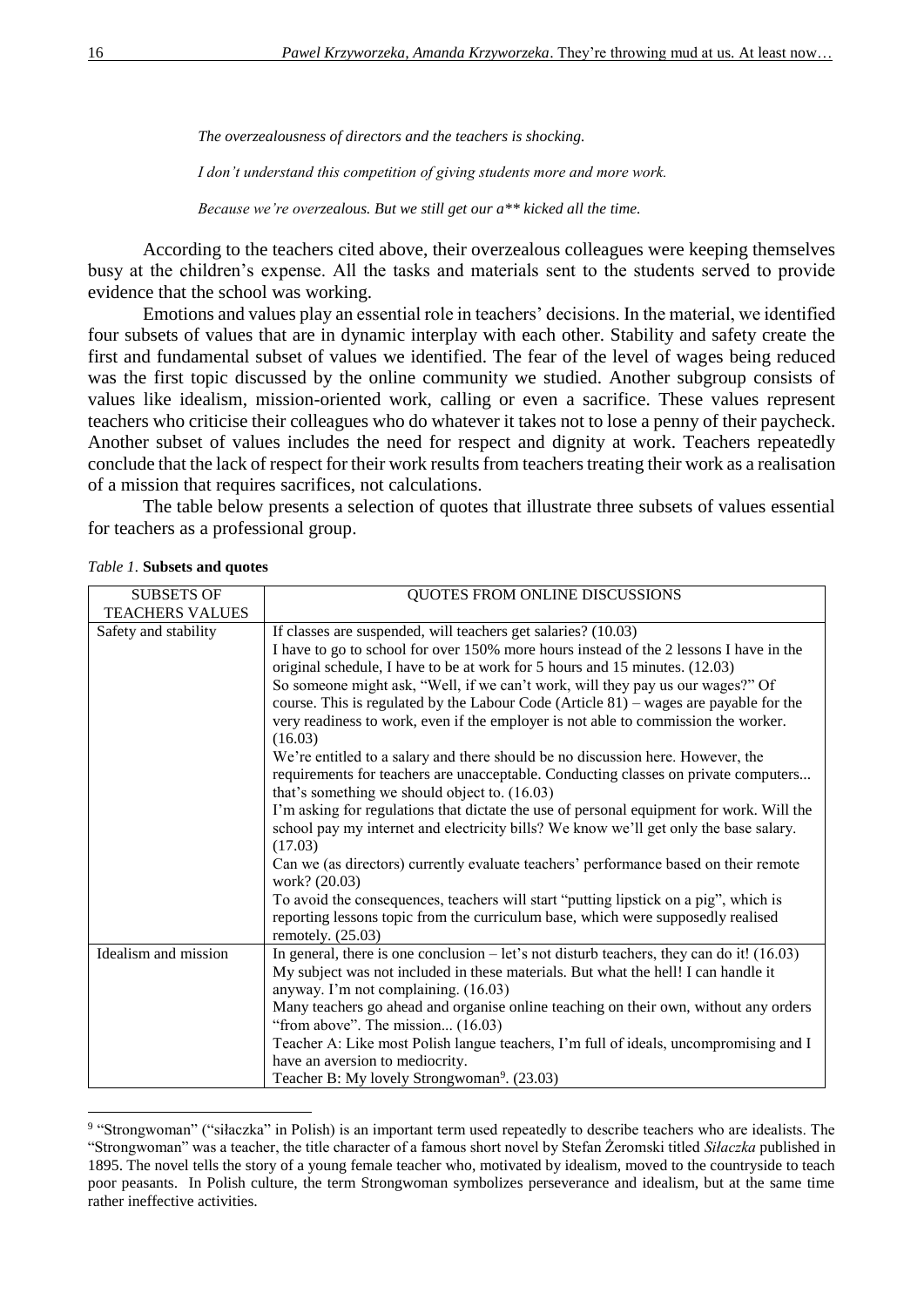*The overzealousness of directors and the teachers is shocking.* 

*I don't understand this competition of giving students more and more work.*

*Because we're overzealous. But we still get our a\*\* kicked all the time.*

According to the teachers cited above, their overzealous colleagues were keeping themselves busy at the children's expense. All the tasks and materials sent to the students served to provide evidence that the school was working.

Emotions and values play an essential role in teachers' decisions. In the material, we identified four subsets of values that are in dynamic interplay with each other. Stability and safety create the first and fundamental subset of values we identified. The fear of the level of wages being reduced was the first topic discussed by the online community we studied. Another subgroup consists of values like idealism, mission-oriented work, calling or even a sacrifice. These values represent teachers who criticise their colleagues who do whatever it takes not to lose a penny of their paycheck. Another subset of values includes the need for respect and dignity at work. Teachers repeatedly conclude that the lack of respect for their work results from teachers treating their work as a realisation of a mission that requires sacrifices, not calculations.

The table below presents a selection of quotes that illustrate three subsets of values essential for teachers as a professional group.

| <b>SUBSETS OF</b>      | QUOTES FROM ONLINE DISCUSSIONS                                                                                                                                                                                          |
|------------------------|-------------------------------------------------------------------------------------------------------------------------------------------------------------------------------------------------------------------------|
| <b>TEACHERS VALUES</b> |                                                                                                                                                                                                                         |
| Safety and stability   | If classes are suspended, will teachers get salaries? (10.03)                                                                                                                                                           |
|                        | I have to go to school for over 150% more hours instead of the 2 lessons I have in the                                                                                                                                  |
|                        | original schedule, I have to be at work for 5 hours and 15 minutes. (12.03)                                                                                                                                             |
|                        | So someone might ask, "Well, if we can't work, will they pay us our wages?" Of                                                                                                                                          |
|                        | course. This is regulated by the Labour Code (Article $81$ ) – wages are payable for the                                                                                                                                |
|                        | very readiness to work, even if the employer is not able to commission the worker.<br>(16.03)                                                                                                                           |
|                        | We're entitled to a salary and there should be no discussion here. However, the<br>requirements for teachers are unacceptable. Conducting classes on private computers<br>that's something we should object to. (16.03) |
|                        | I'm asking for regulations that dictate the use of personal equipment for work. Will the<br>school pay my internet and electricity bills? We know we'll get only the base salary.<br>(17.03)                            |
|                        | Can we (as directors) currently evaluate teachers' performance based on their remote<br>work? (20.03)                                                                                                                   |
|                        | To avoid the consequences, teachers will start "putting lipstick on a pig", which is                                                                                                                                    |
|                        | reporting lessons topic from the curriculum base, which were supposedly realised<br>remotely. $(25.03)$                                                                                                                 |
| Idealism and mission   | In general, there is one conclusion $-$ let's not disturb teachers, they can do it! (16.03)                                                                                                                             |
|                        | My subject was not included in these materials. But what the hell! I can handle it                                                                                                                                      |
|                        | anyway. I'm not complaining. (16.03)                                                                                                                                                                                    |
|                        | Many teachers go ahead and organise online teaching on their own, without any orders                                                                                                                                    |
|                        | "from above". The mission $(16.03)$                                                                                                                                                                                     |
|                        | Teacher A: Like most Polish langue teachers, I'm full of ideals, uncompromising and I                                                                                                                                   |
|                        | have an aversion to mediocrity.                                                                                                                                                                                         |
|                        | Teacher B: My lovely Strongwoman <sup>9</sup> . (23.03)                                                                                                                                                                 |

*Table 1.* **Subsets and quotes**

**.** 

<sup>&</sup>lt;sup>9</sup> "Strongwoman" ("siłaczka" in Polish) is an important term used repeatedly to describe teachers who are idealists. The "Strongwoman" was a teacher, the title character of a famous short novel by Stefan Żeromski titled *Siłaczka* published in 1895. The novel tells the story of a young female teacher who, motivated by idealism, moved to the countryside to teach poor peasants. In Polish culture, the term Strongwoman symbolizes perseverance and idealism, but at the same time rather ineffective activities.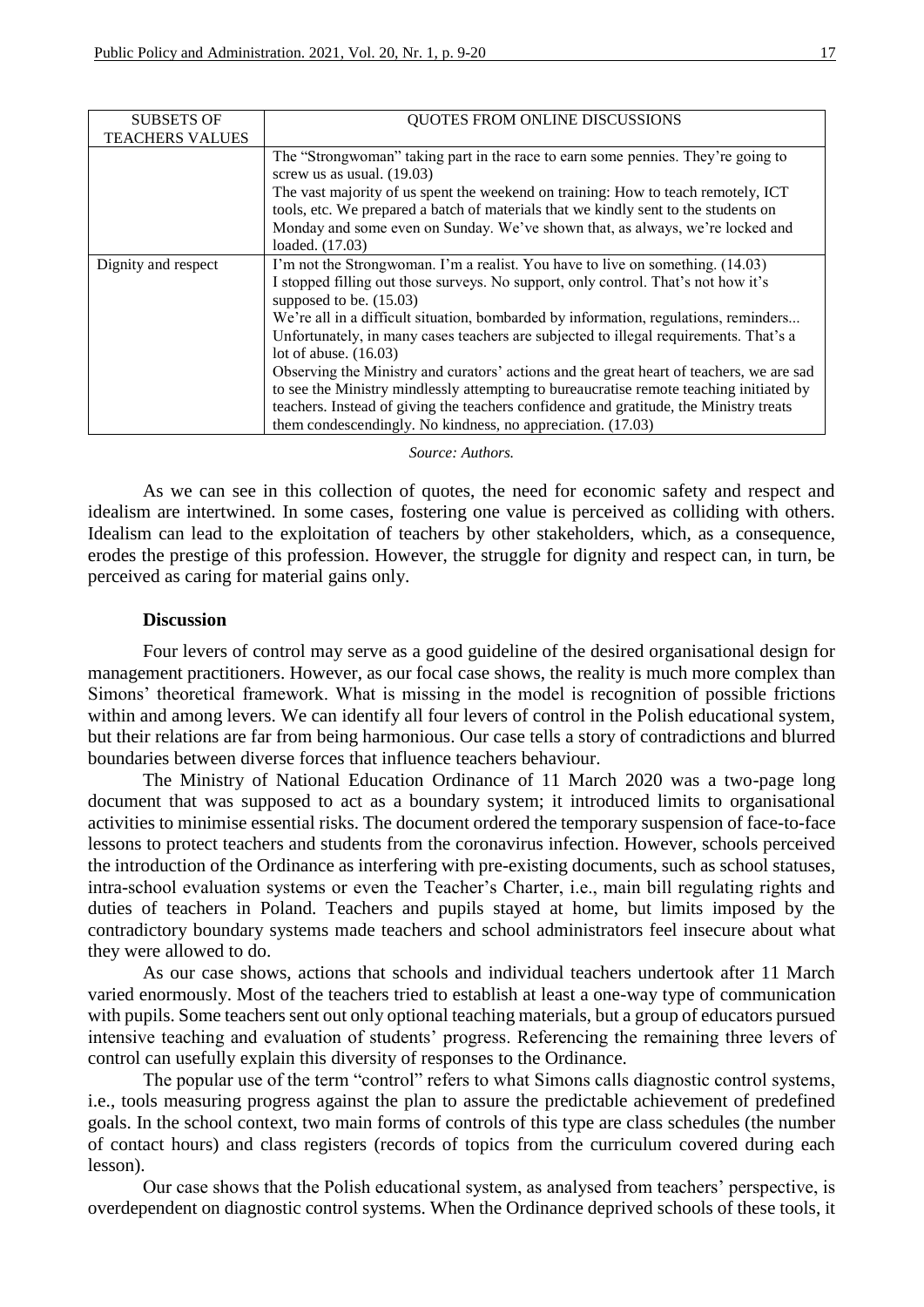| <b>SUBSETS OF</b>      | QUOTES FROM ONLINE DISCUSSIONS                                                                                                                                           |
|------------------------|--------------------------------------------------------------------------------------------------------------------------------------------------------------------------|
| <b>TEACHERS VALUES</b> |                                                                                                                                                                          |
|                        | The "Strongwoman" taking part in the race to earn some pennies. They're going to<br>screw us as usual. $(19.03)$                                                         |
|                        | The vast majority of us spent the weekend on training: How to teach remotely, ICT<br>tools, etc. We prepared a batch of materials that we kindly sent to the students on |
|                        | Monday and some even on Sunday. We've shown that, as always, we're locked and                                                                                            |
|                        | loaded. (17.03)                                                                                                                                                          |
| Dignity and respect    | I'm not the Strongwoman. I'm a realist. You have to live on something. (14.03)                                                                                           |
|                        | I stopped filling out those surveys. No support, only control. That's not how it's<br>supposed to be. $(15.03)$                                                          |
|                        | We're all in a difficult situation, bombarded by information, regulations, reminders                                                                                     |
|                        | Unfortunately, in many cases teachers are subjected to illegal requirements. That's a                                                                                    |
|                        | lot of abuse. $(16.03)$                                                                                                                                                  |
|                        | Observing the Ministry and curators' actions and the great heart of teachers, we are sad                                                                                 |
|                        | to see the Ministry mindlessly attempting to bureaucratise remote teaching initiated by                                                                                  |
|                        | teachers. Instead of giving the teachers confidence and gratitude, the Ministry treats                                                                                   |
|                        | them condescendingly. No kindness, no appreciation. (17.03)                                                                                                              |

#### *Source: Authors.*

As we can see in this collection of quotes, the need for economic safety and respect and idealism are intertwined. In some cases, fostering one value is perceived as colliding with others. Idealism can lead to the exploitation of teachers by other stakeholders, which, as a consequence, erodes the prestige of this profession. However, the struggle for dignity and respect can, in turn, be perceived as caring for material gains only.

### **Discussion**

Four levers of control may serve as a good guideline of the desired organisational design for management practitioners. However, as our focal case shows, the reality is much more complex than Simons' theoretical framework. What is missing in the model is recognition of possible frictions within and among levers. We can identify all four levers of control in the Polish educational system, but their relations are far from being harmonious. Our case tells a story of contradictions and blurred boundaries between diverse forces that influence teachers behaviour.

The Ministry of National Education Ordinance of 11 March 2020 was a two-page long document that was supposed to act as a boundary system; it introduced limits to organisational activities to minimise essential risks. The document ordered the temporary suspension of face-to-face lessons to protect teachers and students from the coronavirus infection. However, schools perceived the introduction of the Ordinance as interfering with pre-existing documents, such as school statuses, intra-school evaluation systems or even the Teacher's Charter, i.e., main bill regulating rights and duties of teachers in Poland. Teachers and pupils stayed at home, but limits imposed by the contradictory boundary systems made teachers and school administrators feel insecure about what they were allowed to do.

As our case shows, actions that schools and individual teachers undertook after 11 March varied enormously. Most of the teachers tried to establish at least a one-way type of communication with pupils. Some teachers sent out only optional teaching materials, but a group of educators pursued intensive teaching and evaluation of students' progress. Referencing the remaining three levers of control can usefully explain this diversity of responses to the Ordinance.

The popular use of the term "control" refers to what Simons calls diagnostic control systems, i.e., tools measuring progress against the plan to assure the predictable achievement of predefined goals. In the school context, two main forms of controls of this type are class schedules (the number of contact hours) and class registers (records of topics from the curriculum covered during each lesson).

Our case shows that the Polish educational system, as analysed from teachers' perspective, is overdependent on diagnostic control systems. When the Ordinance deprived schools of these tools, it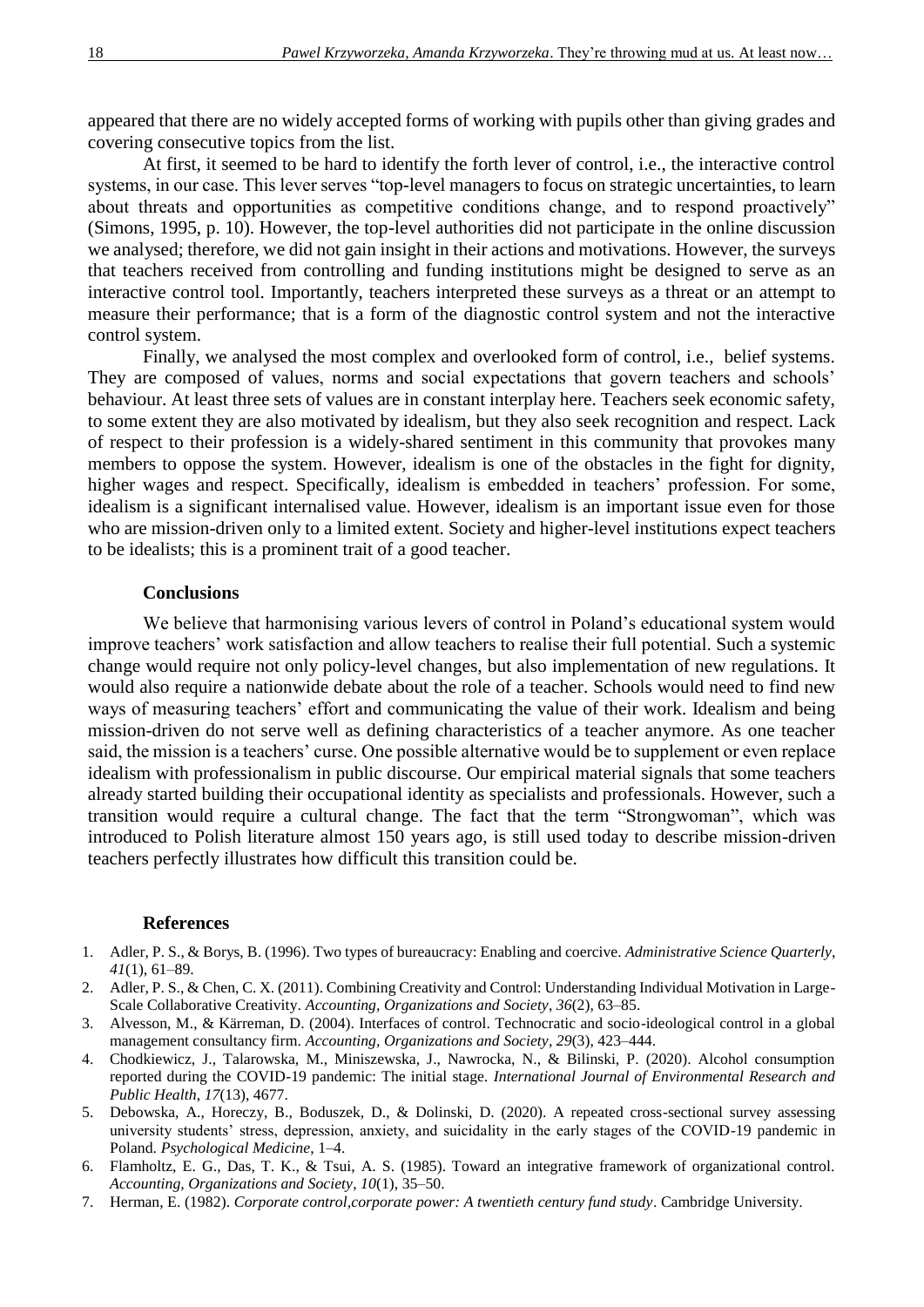appeared that there are no widely accepted forms of working with pupils other than giving grades and covering consecutive topics from the list.

At first, it seemed to be hard to identify the forth lever of control, i.e., the interactive control systems, in our case. This lever serves "top-level managers to focus on strategic uncertainties, to learn about threats and opportunities as competitive conditions change, and to respond proactively" (Simons, 1995, p. 10). However, the top-level authorities did not participate in the online discussion we analysed; therefore, we did not gain insight in their actions and motivations. However, the surveys that teachers received from controlling and funding institutions might be designed to serve as an interactive control tool. Importantly, teachers interpreted these surveys as a threat or an attempt to measure their performance; that is a form of the diagnostic control system and not the interactive control system.

Finally, we analysed the most complex and overlooked form of control, i.e., belief systems. They are composed of values, norms and social expectations that govern teachers and schools' behaviour. At least three sets of values are in constant interplay here. Teachers seek economic safety, to some extent they are also motivated by idealism, but they also seek recognition and respect. Lack of respect to their profession is a widely-shared sentiment in this community that provokes many members to oppose the system. However, idealism is one of the obstacles in the fight for dignity, higher wages and respect. Specifically, idealism is embedded in teachers' profession. For some, idealism is a significant internalised value. However, idealism is an important issue even for those who are mission-driven only to a limited extent. Society and higher-level institutions expect teachers to be idealists; this is a prominent trait of a good teacher.

### **Conclusions**

We believe that harmonising various levers of control in Poland's educational system would improve teachers' work satisfaction and allow teachers to realise their full potential. Such a systemic change would require not only policy-level changes, but also implementation of new regulations. It would also require a nationwide debate about the role of a teacher. Schools would need to find new ways of measuring teachers' effort and communicating the value of their work. Idealism and being mission-driven do not serve well as defining characteristics of a teacher anymore. As one teacher said, the mission is a teachers' curse. One possible alternative would be to supplement or even replace idealism with professionalism in public discourse. Our empirical material signals that some teachers already started building their occupational identity as specialists and professionals. However, such a transition would require a cultural change. The fact that the term "Strongwoman", which was introduced to Polish literature almost 150 years ago, is still used today to describe mission-driven teachers perfectly illustrates how difficult this transition could be.

#### **References**

- 1. Adler, P. S., & Borys, B. (1996). Two types of bureaucracy: Enabling and coercive. *Administrative Science Quarterly*, *41*(1), 61–89.
- 2. Adler, P. S., & Chen, C. X. (2011). Combining Creativity and Control: Understanding Individual Motivation in Large-Scale Collaborative Creativity. *Accounting, Organizations and Society*, *36*(2), 63–85.
- 3. Alvesson, M., & Kärreman, D. (2004). Interfaces of control. Technocratic and socio-ideological control in a global management consultancy firm. *Accounting, Organizations and Society*, *29*(3), 423–444.
- 4. Chodkiewicz, J., Talarowska, M., Miniszewska, J., Nawrocka, N., & Bilinski, P. (2020). Alcohol consumption reported during the COVID-19 pandemic: The initial stage. *International Journal of Environmental Research and Public Health*, *17*(13), 4677.
- 5. Debowska, A., Horeczy, B., Boduszek, D., & Dolinski, D. (2020). A repeated cross-sectional survey assessing university students' stress, depression, anxiety, and suicidality in the early stages of the COVID-19 pandemic in Poland. *Psychological Medicine*, 1–4.
- 6. Flamholtz, E. G., Das, T. K., & Tsui, A. S. (1985). Toward an integrative framework of organizational control. *Accounting, Organizations and Society*, *10*(1), 35–50.
- 7. Herman, E. (1982). *Corporate control,corporate power: A twentieth century fund study*. Cambridge University.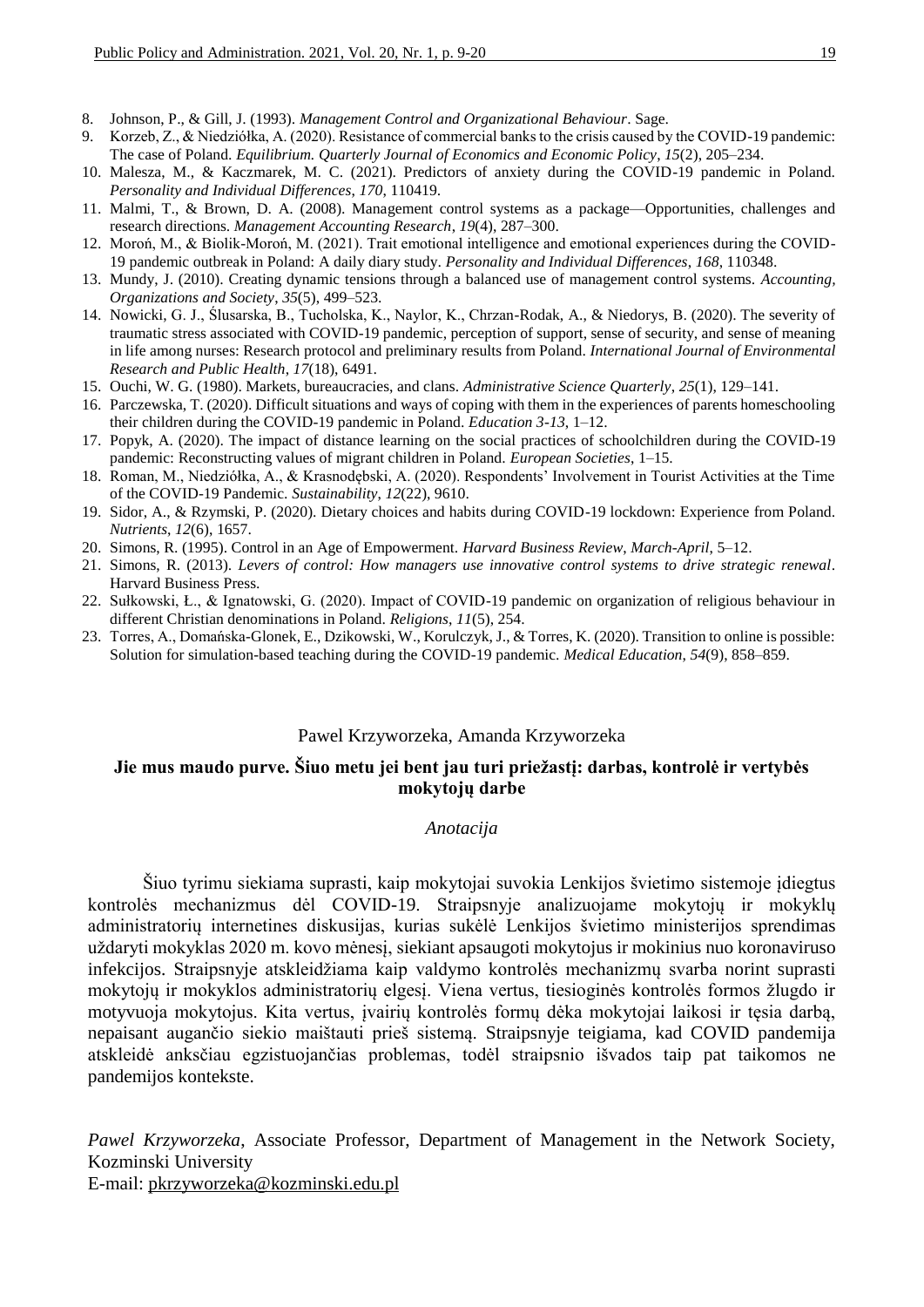- 8. Johnson, P., & Gill, J. (1993). *Management Control and Organizational Behaviour*. Sage.
- 9. Korzeb, Z., & Niedziółka, A. (2020). Resistance of commercial banks to the crisis caused by the COVID-19 pandemic: The case of Poland. *Equilibrium. Quarterly Journal of Economics and Economic Policy*, *15*(2), 205–234.
- 10. Malesza, M., & Kaczmarek, M. C. (2021). Predictors of anxiety during the COVID-19 pandemic in Poland. *Personality and Individual Differences*, *170*, 110419.
- 11. Malmi, T., & Brown, D. A. (2008). Management control systems as a package—Opportunities, challenges and research directions. *Management Accounting Research*, *19*(4), 287–300.
- 12. Moroń, M., & Biolik-Moroń, M. (2021). Trait emotional intelligence and emotional experiences during the COVID-19 pandemic outbreak in Poland: A daily diary study. *Personality and Individual Differences*, *168*, 110348.
- 13. Mundy, J. (2010). Creating dynamic tensions through a balanced use of management control systems. *Accounting, Organizations and Society*, *35*(5), 499–523.
- 14. Nowicki, G. J., Ślusarska, B., Tucholska, K., Naylor, K., Chrzan-Rodak, A., & Niedorys, B. (2020). The severity of traumatic stress associated with COVID-19 pandemic, perception of support, sense of security, and sense of meaning in life among nurses: Research protocol and preliminary results from Poland. *International Journal of Environmental Research and Public Health*, *17*(18), 6491.
- 15. Ouchi, W. G. (1980). Markets, bureaucracies, and clans. *Administrative Science Quarterly*, *25*(1), 129–141.
- 16. Parczewska, T. (2020). Difficult situations and ways of coping with them in the experiences of parents homeschooling their children during the COVID-19 pandemic in Poland. *Education 3-13*, 1–12.
- 17. Popyk, A. (2020). The impact of distance learning on the social practices of schoolchildren during the COVID-19 pandemic: Reconstructing values of migrant children in Poland. *European Societies*, 1–15.
- 18. Roman, M., Niedziółka, A., & Krasnodębski, A. (2020). Respondents' Involvement in Tourist Activities at the Time of the COVID-19 Pandemic. *Sustainability*, *12*(22), 9610.
- 19. Sidor, A., & Rzymski, P. (2020). Dietary choices and habits during COVID-19 lockdown: Experience from Poland. *Nutrients*, *12*(6), 1657.
- 20. Simons, R. (1995). Control in an Age of Empowerment. *Harvard Business Review*, *March-April*, 5–12.
- 21. Simons, R. (2013). *Levers of control: How managers use innovative control systems to drive strategic renewal*. Harvard Business Press.
- 22. Sułkowski, Ł., & Ignatowski, G. (2020). Impact of COVID-19 pandemic on organization of religious behaviour in different Christian denominations in Poland. *Religions*, *11*(5), 254.
- 23. Torres, A., Domańska-Glonek, E., Dzikowski, W., Korulczyk, J., & Torres, K. (2020). Transition to online is possible: Solution for simulation-based teaching during the COVID-19 pandemic. *Medical Education*, *54*(9), 858–859.

### Pawel Krzyworzeka, Amanda Krzyworzeka

## **Jie mus maudo purve. Šiuo metu jei bent jau turi priežastį: darbas, kontrolė ir vertybės mokytojų darbe**

### *Anotacija*

Šiuo tyrimu siekiama suprasti, kaip mokytojai suvokia Lenkijos švietimo sistemoje įdiegtus kontrolės mechanizmus dėl COVID-19. Straipsnyje analizuojame mokytojų ir mokyklų administratorių internetines diskusijas, kurias sukėlė Lenkijos švietimo ministerijos sprendimas uždaryti mokyklas 2020 m. kovo mėnesį, siekiant apsaugoti mokytojus ir mokinius nuo koronaviruso infekcijos. Straipsnyje atskleidžiama kaip valdymo kontrolės mechanizmų svarba norint suprasti mokytojų ir mokyklos administratorių elgesį. Viena vertus, tiesioginės kontrolės formos žlugdo ir motyvuoja mokytojus. Kita vertus, įvairių kontrolės formų dėka mokytojai laikosi ir tęsia darbą, nepaisant augančio siekio maištauti prieš sistemą. Straipsnyje teigiama, kad COVID pandemija atskleidė anksčiau egzistuojančias problemas, todėl straipsnio išvados taip pat taikomos ne pandemijos kontekste.

*Pawel Krzyworzeka*, Associate Professor, Department of Management in the Network Society, Kozminski University

E-mail: pkrzyworzeka@kozminski.edu.pl